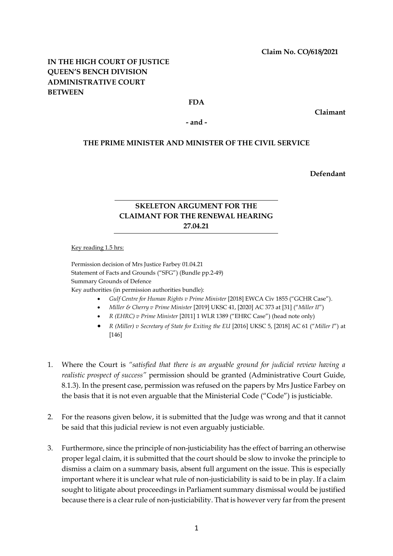## **IN THE HIGH COURT OF JUSTICE QUEEN'S BENCH DIVISION ADMINISTRATIVE COURT BETWEEN**

### **FDA**

**Claimant**

**- and -**

### **THE PRIME MINISTER AND MINISTER OF THE CIVIL SERVICE**

**Defendant**

# **SKELETON ARGUMENT FOR THE CLAIMANT FOR THE RENEWAL HEARING 27.04.21**

#### Key reading 1.5 hrs:

Permission decision of Mrs Justice Farbey 01.04.21 Statement of Facts and Grounds ("SFG") (Bundle pp.2-49) Summary Grounds of Defence Key authorities (in permission authorities bundle):

- *Gulf Centre for Human Rights v Prime Minister* [2018] EWCA Civ 1855 ("GCHR Case").
- *Miller & Cherry v Prime Minister* [2019] UKSC 41, [2020] AC 373 at [31] ("*Miller II*")
- *R (EHRC) v Prime Minister* [2011] 1 WLR 1389 ("EHRC Case") (head note only)
- *R (Miller) v Secretary of State for Exiting the EU* [2016] UKSC 5, [2018] AC 61 ("*Miller I*") at [146]
- 1. Where the Court is *"satisfied that there is an arguable ground for judicial review having a realistic prospect of success"* permission should be granted (Administrative Court Guide, 8.1.3). In the present case, permission was refused on the papers by Mrs Justice Farbey on the basis that it is not even arguable that the Ministerial Code ("Code") is justiciable.
- 2. For the reasons given below, it is submitted that the Judge was wrong and that it cannot be said that this judicial review is not even arguably justiciable.
- 3. Furthermore, since the principle of non-justiciability has the effect of barring an otherwise proper legal claim, it is submitted that the court should be slow to invoke the principle to dismiss a claim on a summary basis, absent full argument on the issue. This is especially important where it is unclear what rule of non-justiciability is said to be in play. If a claim sought to litigate about proceedings in Parliament summary dismissal would be justified because there is a clear rule of non-justiciability. That is however very far from the present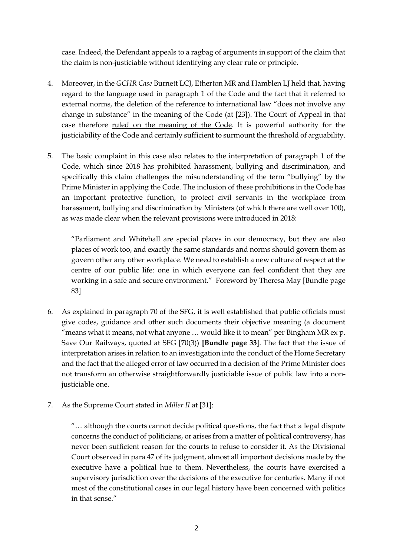case. Indeed, the Defendant appeals to a ragbag of arguments in support of the claim that the claim is non-justiciable without identifying any clear rule or principle.

- 4. Moreover, in the *GCHR Case* Burnett LCJ, Etherton MR and Hamblen LJ held that, having regard to the language used in paragraph 1 of the Code and the fact that it referred to external norms, the deletion of the reference to international law "does not involve any change in substance" in the meaning of the Code (at [23]). The Court of Appeal in that case therefore ruled on the meaning of the Code. It is powerful authority for the justiciability of the Code and certainly sufficient to surmount the threshold of arguability.
- 5. The basic complaint in this case also relates to the interpretation of paragraph 1 of the Code, which since 2018 has prohibited harassment, bullying and discrimination, and specifically this claim challenges the misunderstanding of the term "bullying" by the Prime Minister in applying the Code. The inclusion of these prohibitions in the Code has an important protective function, to protect civil servants in the workplace from harassment, bullying and discrimination by Ministers (of which there are well over 100), as was made clear when the relevant provisions were introduced in 2018:

"Parliament and Whitehall are special places in our democracy, but they are also places of work too, and exactly the same standards and norms should govern them as govern other any other workplace. We need to establish a new culture of respect at the centre of our public life: one in which everyone can feel confident that they are working in a safe and secure environment." Foreword by Theresa May [Bundle page 83]

- 6. As explained in paragraph 70 of the SFG, it is well established that public officials must give codes, guidance and other such documents their objective meaning (a document "means what it means, not what anyone  $\dots$  would like it to mean" per Bingham MR ex p. Save Our Railways, quoted at SFG [70(3)) **[Bundle page 33]**. The fact that the issue of interpretation arises in relation to an investigation into the conduct of the Home Secretary and the fact that the alleged error of law occurred in a decision of the Prime Minister does not transform an otherwise straightforwardly justiciable issue of public law into a nonjusticiable one.
- 7. As the Supreme Court stated in *Miller II* at [31]:

"… although the courts cannot decide political questions, the fact that a legal dispute concerns the conduct of politicians, or arises from a matter of political controversy, has never been sufficient reason for the courts to refuse to consider it. As the Divisional Court observed in para 47 of its judgment, almost all important decisions made by the executive have a political hue to them. Nevertheless, the courts have exercised a supervisory jurisdiction over the decisions of the executive for centuries. Many if not most of the constitutional cases in our legal history have been concerned with politics in that sense."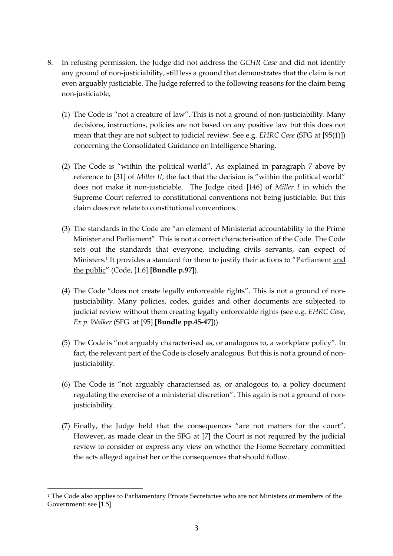- 8. In refusing permission, the Judge did not address the *GCHR Case* and did not identify any ground of non-justiciability, still less a ground that demonstrates that the claim is not even arguably justiciable. The Judge referred to the following reasons for the claim being non-justiciable,
	- (1) The Code is "not a creature of law". This is not a ground of non-justiciability. Many decisions, instructions, policies are not based on any positive law but this does not mean that they are not subject to judicial review. See e.g. *EHRC Case* (SFG at [95(1)]) concerning the Consolidated Guidance on Intelligence Sharing.
	- (2) The Code is "within the political world". As explained in paragraph 7 above by reference to [31] of *Miller II*, the fact that the decision is "within the political world" does not make it non-justiciable. The Judge cited [146] of *Miller I* in which the Supreme Court referred to constitutional conventions not being justiciable. But this claim does not relate to constitutional conventions.
	- (3) The standards in the Code are "an element of Ministerial accountability to the Prime Minister and Parliament". This is not a correct characterisation of the Code. The Code sets out the standards that everyone, including civils servants, can expect of Ministers.<sup>1</sup> It provides a standard for them to justify their actions to "Parliament <u>and</u> the public" (Code, [1.6] **[Bundle p.97]**).
	- (4) The Code "does not create legally enforceable rights". This is not a ground of nonjusticiability. Many policies, codes, guides and other documents are subjected to judicial review without them creating legally enforceable rights (see e.g. *EHRC Case*, *Ex p. Walker* (SFG at [95] **[Bundle pp.45-47]**)).
	- (5) The Code is "not arguably characterised as, or analogous to, a workplace policy". In fact, the relevant part of the Code is closely analogous. But this is not a ground of nonjusticiability.
	- (6) The Code is "not arguably characterised as, or analogous to, a policy document regulating the exercise of a ministerial discretion". This again is not a ground of nonjusticiability.
	- (7) Finally, the Judge held that the consequences "are not matters for the court". However, as made clear in the SFG at [7] the Court is not required by the judicial review to consider or express any view on whether the Home Secretary committed the acts alleged against her or the consequences that should follow.

<sup>1</sup> The Code also applies to Parliamentary Private Secretaries who are not Ministers or members of the Government: see [1.5].